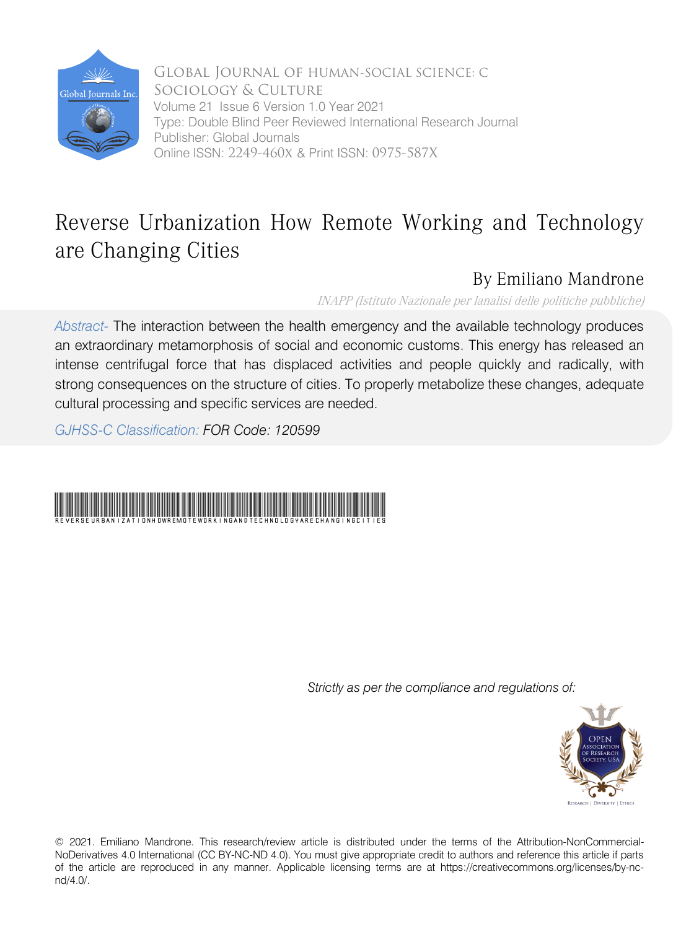

 Volume 21 Issue 6 Version 1.0 Year 2021 Global Journal of HUMAN-SOCIAL SCIENCE: C Sociology & Culture Type: Double Blind Peer Reviewed International Research Journal Publisher: Global Journals Online ISSN: 2249-460x & Print ISSN: 0975-587X

## Reverse Urbanization How Remote Working and Technology are Changing Cities

## By Emiliano Mandrone

INAPP (Istituto Nazionale per lanalisi delle politiche pubbliche)

*Abstract-* The interaction between the health emergency and the available technology produces an extraordinary metamorphosis of social and economic customs. This energy has released an intense centrifugal force that has displaced activities and people quickly and radically, with strong consequences on the structure of cities. To properly metabolize these changes, adequate cultural processing and specific services are needed.

*GJHSS-C Classification: FOR Code: 120599*



*Strictly as per the compliance and regulations of:*



© 2021. Emiliano Mandrone. This research/review article is distributed under the terms of the Attribution-NonCommercial-NoDerivatives 4.0 International (CC BY-NC-ND 4.0). You must give appropriate credit to authors and reference this article if parts of the article are reproduced in any manner. Applicable licensing terms are at https://creativecommons.org/licenses/by-ncnd/4.0/.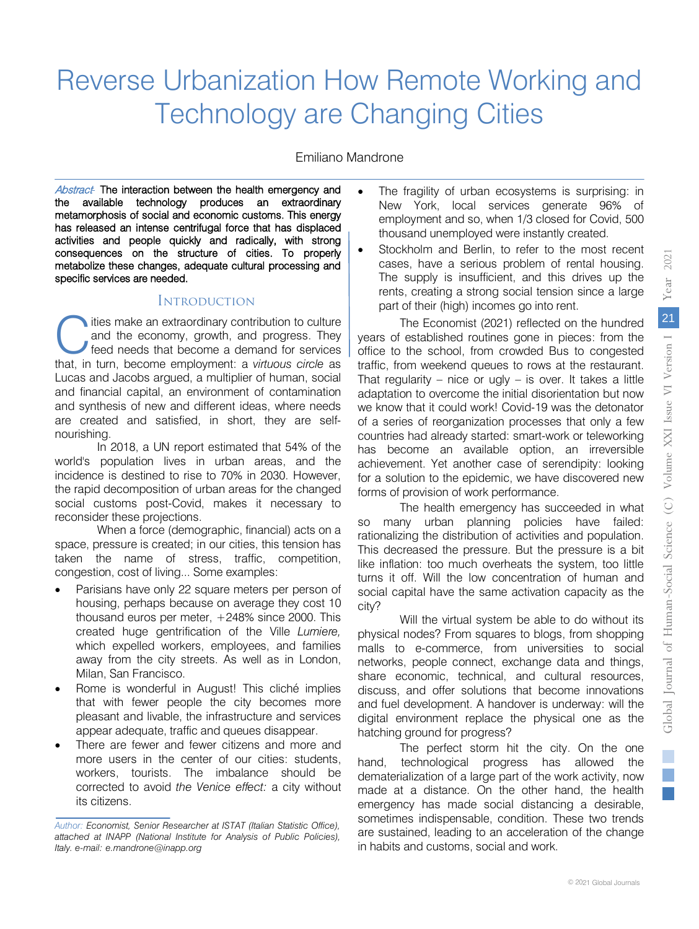Emiliano Mandrone

Abstract<sup>-</sup> The interaction between the health emergency and the available technology produces an extraordinary metamorphosis of social and economic customs. This energy has released an intense centrifugal force that has displaced activities and people quickly and radically, with strong consequences on the structure of cities. To properly metabolize these changes, adequate cultural processing and specific services are needed.

## **INTRODUCTION**

ities make an extraordinary contribution to culture and the economy, growth, and progress. They feed needs that become a demand for services ties make an extraordinary contribution to culture and the economy, growth, and progress. They feed needs that become a demand for services that, in turn, become employment: a *virtuous circle* as Lucas and Jacobs argued, a multiplier of human, social and financial capital, an environment of contamination and synthesis of new and different ideas, where needs are created and satisfied, in short, they are selfnourishing.

In 2018, a UN report estimated that 54% of the world's population lives in urban areas, and the incidence is destined to rise to 70% in 2030. However, the rapid decomposition of urban areas for the changed social customs post-Covid, makes it necessary to reconsider these projections.

When a force (demographic, financial) acts on a space, pressure is created; in our cities, this tension has taken the name of stress, traffic, competition, congestion, cost of living... Some examples:

- Parisians have only 22 square meters per person of housing, perhaps because on average they cost 10 thousand euros per meter, +248% since 2000. This created huge gentrification of the Ville *Lumiere,*  which expelled workers, employees, and families away from the city streets. As well as in London, Milan, San Francisco.
- Rome is wonderful in August! This cliché implies that with fewer people the city becomes more pleasant and livable, the infrastructure and services appear adequate, traffic and queues disappear.
- There are fewer and fewer citizens and more and more users in the center of our cities: students, workers, tourists. The imbalance should be corrected to avoid *the Venice effect:* a city without its citizens.
- The fragility of urban ecosystems is surprising: in New York, local services generate 96% of employment and so, when 1/3 closed for Covid, 500 thousand unemployed were instantly created.
- Stockholm and Berlin, to refer to the most recent cases, have a serious problem of rental housing. The supply is insufficient, and this drives up the rents, creating a strong social tension since a large part of their (high) incomes go into rent.

The Economist (2021) reflected on the hundred years of established routines gone in pieces: from the office to the school, from crowded Bus to congested traffic, from weekend queues to rows at the restaurant. That regularity – nice or ugly – is over. It takes a little adaptation to overcome the initial disorientation but now we know that it could work! Covid-19 was the detonator of a series of reorganization processes that only a few countries had already started: smart-work or teleworking has become an available option, an irreversible achievement. Yet another case of serendipity: looking for a solution to the epidemic, we have discovered new forms of provision of work performance.

The health emergency has succeeded in what so many urban planning policies have failed: rationalizing the distribution of activities and population. This decreased the pressure. But the pressure is a bit like inflation: too much overheats the system, too little turns it off. Will the low concentration of human and social capital have the same activation capacity as the city?

Will the virtual system be able to do without its physical nodes? From squares to blogs, from shopping malls to e-commerce, from universities to social networks, people connect, exchange data and things, share economic, technical, and cultural resources, discuss, and offer solutions that become innovations and fuel development. A handover is underway: will the digital environment replace the physical one as the hatching ground for progress?

The perfect storm hit the city. On the one hand, technological progress has allowed the dematerialization of a large part of the work activity, now made at a distance. On the other hand, the health emergency has made social distancing a desirable, sometimes indispensable, condition. These two trends are sustained, leading to an acceleration of the change in habits and customs, social and work.

*Author: Economist, Senior Researcher at ISTAT (Italian Statistic Office), attached at INAPP (National Institute for Analysis of Public Policies), Italy. e-mail: e.mandrone@inapp.org*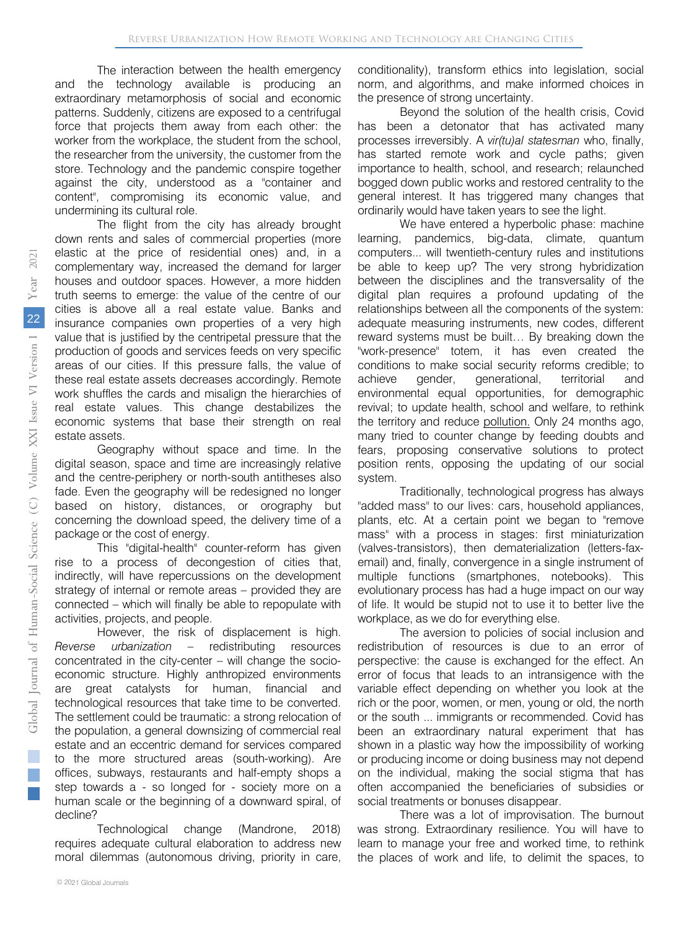The interaction between the health emergency and the technology available is producing an extraordinary metamorphosis of social and economic patterns. Suddenly, citizens are exposed to a centrifugal force that projects them away from each other: the worker from the workplace, the student from the school, the researcher from the university, the customer from the store. Technology and the pandemic conspire together against the city, understood as a "container and content", compromising its economic value, and undermining its cultural role.

The flight from the city has already brought down rents and sales of commercial properties (more elastic at the price of residential ones) and, in a complementary way, increased the demand for larger houses and outdoor spaces. However, a more hidden truth seems to emerge: the value of the centre of our cities is above all a real estate value. Banks and insurance companies own properties of a very high value that is justified by the centripetal pressure that the production of goods and services feeds on very specific areas of our cities. If this pressure falls, the value of these real estate assets decreases accordingly. Remote work shuffles the cards and misalign the hierarchies of real estate values. This change destabilizes the economic systems that base their strength on real estate assets.

Geography without space and time. In the digital season, space and time are increasingly relative and the centre-periphery or north-south antitheses also fade. Even the geography will be redesigned no longer based on history, distances, or orography but concerning the download speed, the delivery time of a package or the cost of energy.

This "digital-health" counter-reform has given rise to a process of decongestion of cities that, indirectly, will have repercussions on the development strategy of internal or remote areas – provided they are connected – which will finally be able to repopulate with activities, projects, and people.

However, the risk of displacement is high. *Reverse urbanization* – redistributing resources concentrated in the city-center – will change the socioeconomic structure. Highly anthropized environments are great catalysts for human, financial and technological resources that take time to be converted. The settlement could be traumatic: a strong relocation of the population, a general downsizing of commercial real estate and an eccentric demand for services compared to the more structured areas (south-working). Are offices, subways, restaurants and half-empty shops a step towards a - so longed for - society more on a human scale or the beginning of a downward spiral, of decline?

Technological change (Mandrone, 2018) requires adequate cultural elaboration to address new moral dilemmas (autonomous driving, priority in care,

conditionality), transform ethics into legislation, social norm, and algorithms, and make informed choices in the presence of strong uncertainty.

Beyond the solution of the health crisis, Covid has been a detonator that has activated many processes irreversibly. A *vir(tu)al statesman* who, finally, has started remote work and cycle paths; given importance to health, school, and research; relaunched bogged down public works and restored centrality to the general interest. It has triggered many changes that ordinarily would have taken years to see the light.

We have entered a hyperbolic phase: machine learning, pandemics, big-data, climate, quantum computers... will twentieth-century rules and institutions be able to keep up? The very strong hybridization between the disciplines and the transversality of the digital plan requires a profound updating of the relationships between all the components of the system: adequate measuring instruments, new codes, different reward systems must be built… By breaking down the "work-presence" totem, it has even created the conditions to make social security reforms credible; to achieve gender, generational, territorial and environmental equal opportunities, for demographic revival; to update health, school and welfare, to rethink the territory and reduce [pollution.](https://www.instagram.com/p/CE4TuZ5nW9a/?igshid=11xk25gka6rur) Only 24 months ago, many tried to counter change by feeding doubts and fears, proposing conservative solutions to protect position rents, opposing the updating of our social system.

Traditionally, technological progress has always "added mass" to our lives: cars, household appliances, plants, etc. At a certain point we began to "remove mass" with a process in stages: first miniaturization (valves-transistors), then dematerialization (letters-faxemail) and, finally, convergence in a single instrument of multiple functions (smartphones, notebooks). This evolutionary process has had a huge impact on our way of life. It would be stupid not to use it to better live the workplace, as we do for everything else.

The aversion to policies of social inclusion and redistribution of resources is due to an error of perspective: the cause is exchanged for the effect. An error of focus that leads to an intransigence with the variable effect depending on whether you look at the rich or the poor, women, or men, young or old, the north or the south ... immigrants or recommended. Covid has been an extraordinary natural experiment that has shown in a plastic way how the impossibility of working or producing income or doing business may not depend on the individual, making the social stigma that has often accompanied the beneficiaries of subsidies or social treatments or bonuses disappear.

There was a lot of improvisation. The burnout was strong. Extraordinary resilience. You will have to learn to manage your free and worked time, to rethink the places of work and life, to delimit the spaces, to